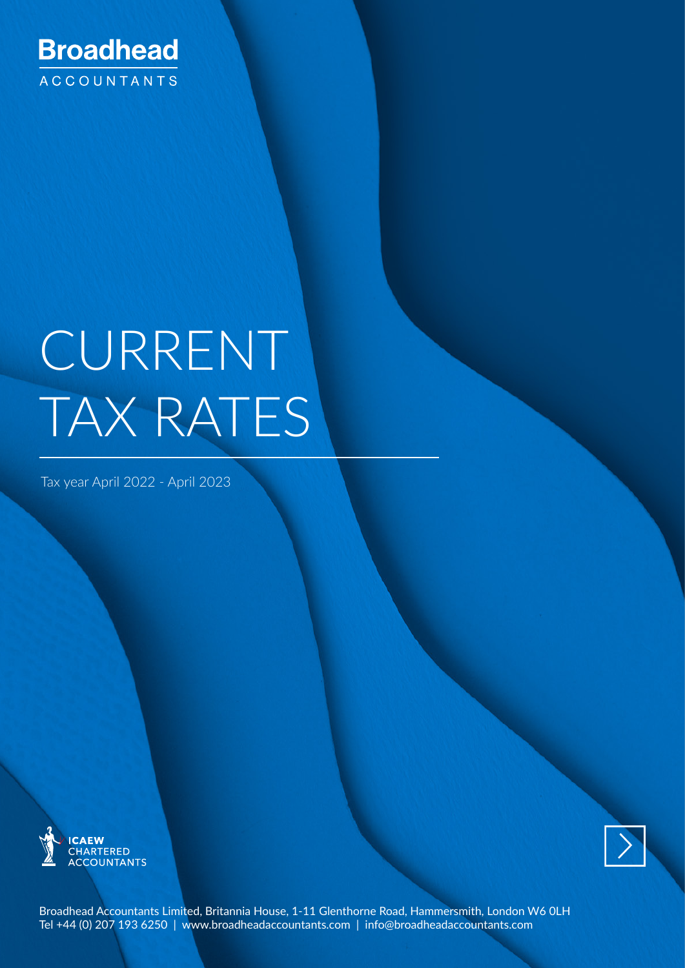

# CURRENT TAX RATES

Tax year April 2022 - April 2023





Broadhead Accountants Limited, Britannia House, 1-11 Glenthorne Road, Hammersmith, London W6 0LH Tel +44 (0) 207 193 6250 | www.broadheadaccountants.com | [info@broadheadaccountants.com](mailto:info@broadheadaccountants.com)